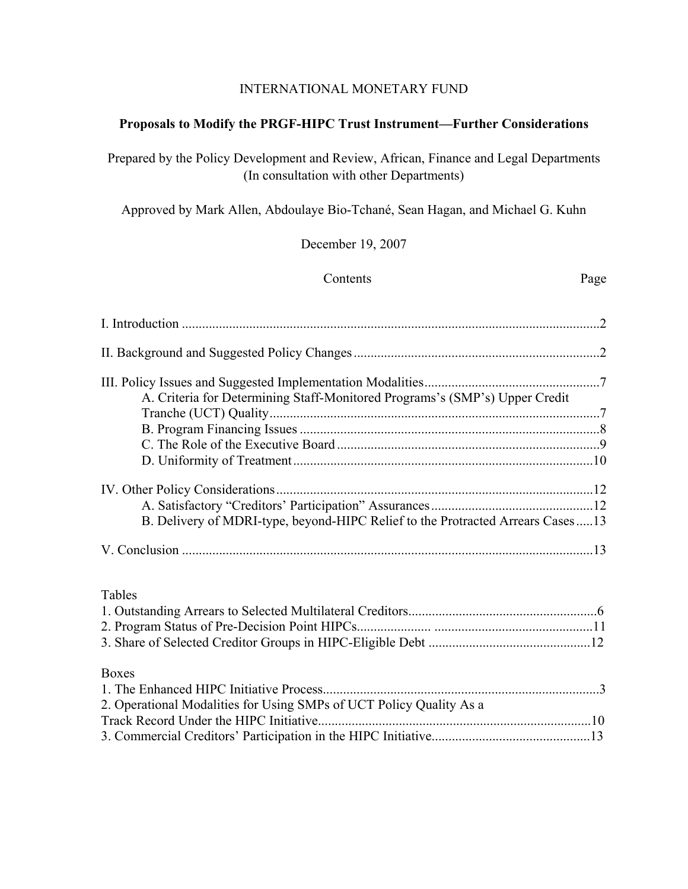### INTERNATIONAL MONETARY FUND

## **Proposals to Modify the PRGF-HIPC Trust Instrument—Further Considerations**

Prepared by the Policy Development and Review, African, Finance and Legal Departments (In consultation with other Departments)

Approved by Mark Allen, Abdoulaye Bio-Tchané, Sean Hagan, and Michael G. Kuhn

December 19, 2007

Contents Page

| A. Criteria for Determining Staff-Monitored Programs's (SMP's) Upper Credit    |  |
|--------------------------------------------------------------------------------|--|
|                                                                                |  |
|                                                                                |  |
|                                                                                |  |
|                                                                                |  |
|                                                                                |  |
|                                                                                |  |
| B. Delivery of MDRI-type, beyond-HIPC Relief to the Protracted Arrears Cases13 |  |
|                                                                                |  |
| Tables                                                                         |  |
|                                                                                |  |
|                                                                                |  |
|                                                                                |  |
| <b>Boxes</b>                                                                   |  |
|                                                                                |  |
| 2. Operational Modalities for Using SMPs of UCT Policy Quality As a            |  |
|                                                                                |  |

3. Commercial Creditors' Participation in the HIPC Initiative...............................................13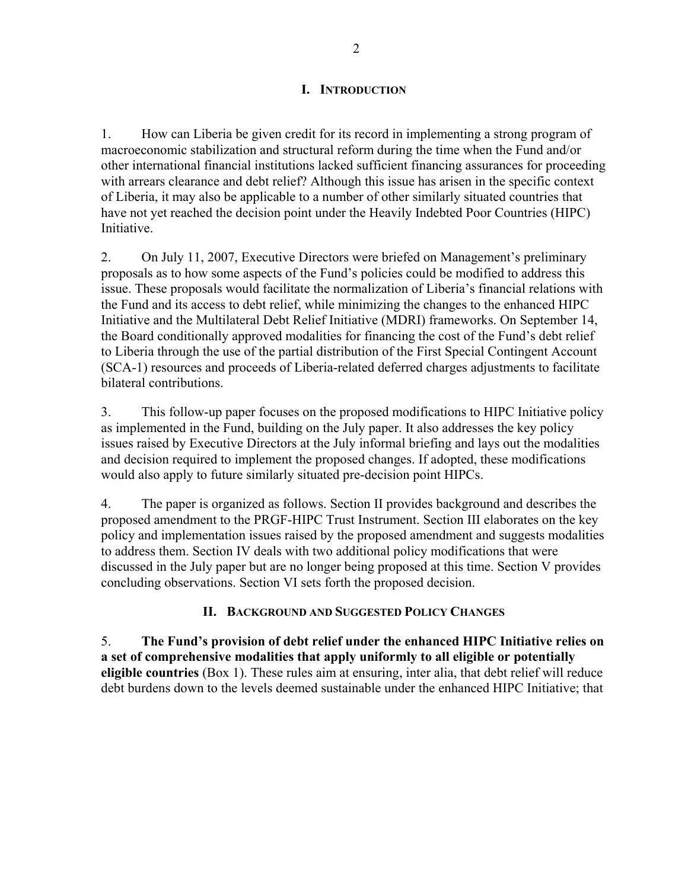## **I. INTRODUCTION**

1. How can Liberia be given credit for its record in implementing a strong program of macroeconomic stabilization and structural reform during the time when the Fund and/or other international financial institutions lacked sufficient financing assurances for proceeding with arrears clearance and debt relief? Although this issue has arisen in the specific context of Liberia, it may also be applicable to a number of other similarly situated countries that have not yet reached the decision point under the Heavily Indebted Poor Countries (HIPC) Initiative.

2. On July 11, 2007, Executive Directors were briefed on Management's preliminary proposals as to how some aspects of the Fund's policies could be modified to address this issue. These proposals would facilitate the normalization of Liberia's financial relations with the Fund and its access to debt relief, while minimizing the changes to the enhanced HIPC Initiative and the Multilateral Debt Relief Initiative (MDRI) frameworks. On September 14, the Board conditionally approved modalities for financing the cost of the Fund's debt relief to Liberia through the use of the partial distribution of the First Special Contingent Account (SCA-1) resources and proceeds of Liberia-related deferred charges adjustments to facilitate bilateral contributions.

3. This follow-up paper focuses on the proposed modifications to HIPC Initiative policy as implemented in the Fund, building on the July paper. It also addresses the key policy issues raised by Executive Directors at the July informal briefing and lays out the modalities and decision required to implement the proposed changes. If adopted, these modifications would also apply to future similarly situated pre-decision point HIPCs.

4. The paper is organized as follows. Section II provides background and describes the proposed amendment to the PRGF-HIPC Trust Instrument. Section III elaborates on the key policy and implementation issues raised by the proposed amendment and suggests modalities to address them. Section IV deals with two additional policy modifications that were discussed in the July paper but are no longer being proposed at this time. Section V provides concluding observations. Section VI sets forth the proposed decision.

## **II. BACKGROUND AND SUGGESTED POLICY CHANGES**

5. **The Fund's provision of debt relief under the enhanced HIPC Initiative relies on a set of comprehensive modalities that apply uniformly to all eligible or potentially eligible countries** (Box 1). These rules aim at ensuring, inter alia, that debt relief will reduce debt burdens down to the levels deemed sustainable under the enhanced HIPC Initiative; that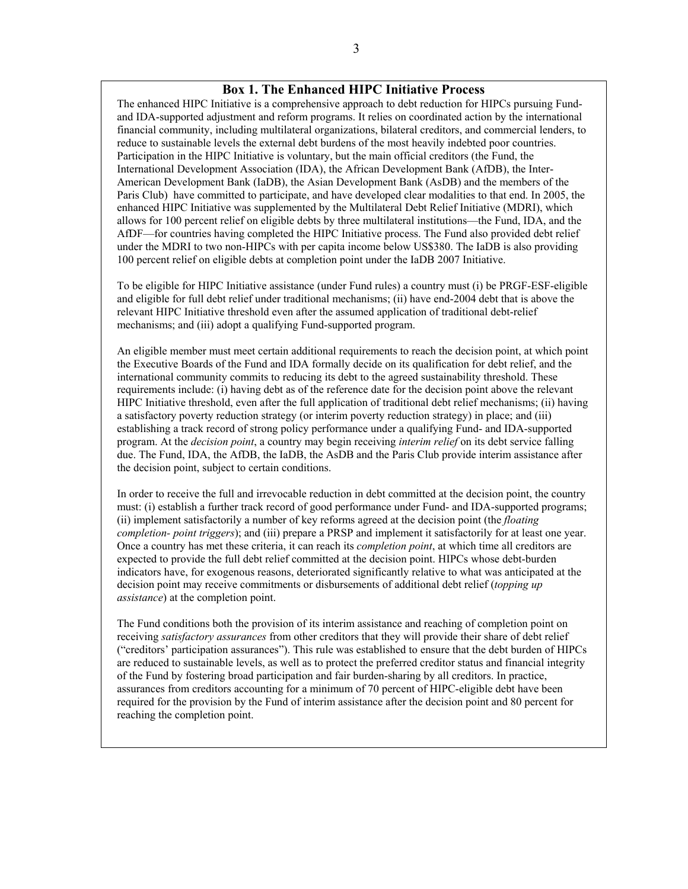#### **Box 1. The Enhanced HIPC Initiative Process**

The enhanced HIPC Initiative is a comprehensive approach to debt reduction for HIPCs pursuing Fundand IDA-supported adjustment and reform programs. It relies on coordinated action by the international financial community, including multilateral organizations, bilateral creditors, and commercial lenders, to reduce to sustainable levels the external debt burdens of the most heavily indebted poor countries. Participation in the HIPC Initiative is voluntary, but the main official creditors (the Fund, the International Development Association (IDA), the African Development Bank (AfDB), the Inter-American Development Bank (IaDB), the Asian Development Bank (AsDB) and the members of the Paris Club) have committed to participate, and have developed clear modalities to that end. In 2005, the enhanced HIPC Initiative was supplemented by the Multilateral Debt Relief Initiative (MDRI), which allows for 100 percent relief on eligible debts by three multilateral institutions—the Fund, IDA, and the AfDF—for countries having completed the HIPC Initiative process. The Fund also provided debt relief under the MDRI to two non-HIPCs with per capita income below US\$380. The IaDB is also providing 100 percent relief on eligible debts at completion point under the IaDB 2007 Initiative.

To be eligible for HIPC Initiative assistance (under Fund rules) a country must (i) be PRGF-ESF-eligible and eligible for full debt relief under traditional mechanisms; (ii) have end-2004 debt that is above the relevant HIPC Initiative threshold even after the assumed application of traditional debt-relief mechanisms; and (iii) adopt a qualifying Fund-supported program.

An eligible member must meet certain additional requirements to reach the decision point, at which point the Executive Boards of the Fund and IDA formally decide on its qualification for debt relief, and the international community commits to reducing its debt to the agreed sustainability threshold. These requirements include: (i) having debt as of the reference date for the decision point above the relevant HIPC Initiative threshold, even after the full application of traditional debt relief mechanisms; (ii) having a satisfactory poverty reduction strategy (or interim poverty reduction strategy) in place; and (iii) establishing a track record of strong policy performance under a qualifying Fund- and IDA-supported program. At the *decision point*, a country may begin receiving *interim relief* on its debt service falling due. The Fund, IDA, the AfDB, the IaDB, the AsDB and the Paris Club provide interim assistance after the decision point, subject to certain conditions.

In order to receive the full and irrevocable reduction in debt committed at the decision point, the country must: (i) establish a further track record of good performance under Fund- and IDA-supported programs; (ii) implement satisfactorily a number of key reforms agreed at the decision point (the *floating completion- point triggers*); and (iii) prepare a PRSP and implement it satisfactorily for at least one year. Once a country has met these criteria, it can reach its *completion point*, at which time all creditors are expected to provide the full debt relief committed at the decision point. HIPCs whose debt-burden indicators have, for exogenous reasons, deteriorated significantly relative to what was anticipated at the decision point may receive commitments or disbursements of additional debt relief (*topping up assistance*) at the completion point.

The Fund conditions both the provision of its interim assistance and reaching of completion point on receiving *satisfactory assurances* from other creditors that they will provide their share of debt relief ("creditors' participation assurances"). This rule was established to ensure that the debt burden of HIPCs are reduced to sustainable levels, as well as to protect the preferred creditor status and financial integrity of the Fund by fostering broad participation and fair burden-sharing by all creditors. In practice, assurances from creditors accounting for a minimum of 70 percent of HIPC-eligible debt have been required for the provision by the Fund of interim assistance after the decision point and 80 percent for reaching the completion point.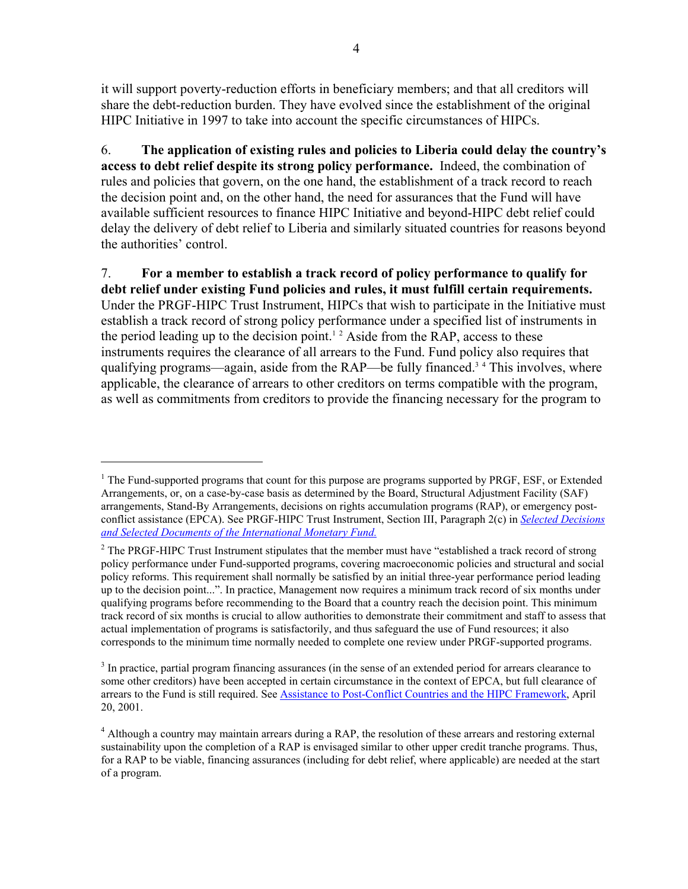it will support poverty-reduction efforts in beneficiary members; and that all creditors will share the debt-reduction burden. They have evolved since the establishment of the original HIPC Initiative in 1997 to take into account the specific circumstances of HIPCs.

6. **The application of existing rules and policies to Liberia could delay the country's access to debt relief despite its strong policy performance.** Indeed, the combination of rules and policies that govern, on the one hand, the establishment of a track record to reach the decision point and, on the other hand, the need for assurances that the Fund will have available sufficient resources to finance HIPC Initiative and beyond-HIPC debt relief could delay the delivery of debt relief to Liberia and similarly situated countries for reasons beyond the authorities' control.

7. **For a member to establish a track record of policy performance to qualify for debt relief under existing Fund policies and rules, it must fulfill certain requirements.** Under the PRGF-HIPC Trust Instrument, HIPCs that wish to participate in the Initiative must establish a track record of strong policy performance under a specified list of instruments in the period leading up to the decision point.<sup>12</sup> Aside from the RAP, access to these instruments requires the clearance of all arrears to the Fund. Fund policy also requires that qualifying programs—again, aside from the RAP—be fully financed.<sup>34</sup> This involves, where applicable, the clearance of arrears to other creditors on terms compatible with the program, as well as commitments from creditors to provide the financing necessary for the program to

1

 $<sup>1</sup>$  The Fund-supported programs that count for this purpose are programs supported by PRGF, ESF, or Extended</sup> Arrangements, or, on a case-by-case basis as determined by the Board, Structural Adjustment Facility (SAF) arrangements, Stand-By Arrangements, decisions on rights accumulation programs (RAP), or emergency postconflict assistance (EPCA). See PRGF-HIPC Trust Instrument, Section III, Paragraph 2(c) in *[Selected Decisions](http://www.imf.org/external/pubs/ft/sd/index.asp) [and Selected Documents of the International Monetary Fund](http://www.imf.org/external/pubs/ft/sd/index.asp).*

 $2^2$  The PRGF-HIPC Trust Instrument stipulates that the member must have "established a track record of strong policy performance under Fund-supported programs, covering macroeconomic policies and structural and social policy reforms. This requirement shall normally be satisfied by an initial three-year performance period leading up to the decision point...". In practice, Management now requires a minimum track record of six months under qualifying programs before recommending to the Board that a country reach the decision point. This minimum track record of six months is crucial to allow authorities to demonstrate their commitment and staff to assess that actual implementation of programs is satisfactorily, and thus safeguard the use of Fund resources; it also corresponds to the minimum time normally needed to complete one review under PRGF-supported programs.

 $3$  In practice, partial program financing assurances (in the sense of an extended period for arrears clearance to some other creditors) have been accepted in certain circumstance in the context of EPCA, but full clearance of arrears to the Fund is still required. See [Assistance to Post-Conflict Countries and the HIPC Framework,](http://www.imf.org/external/np/hipc/2001/pc/042001.pdf) April 20, 2001.

<sup>&</sup>lt;sup>4</sup> Although a country may maintain arrears during a RAP, the resolution of these arrears and restoring external sustainability upon the completion of a RAP is envisaged similar to other upper credit tranche programs. Thus, for a RAP to be viable, financing assurances (including for debt relief, where applicable) are needed at the start of a program.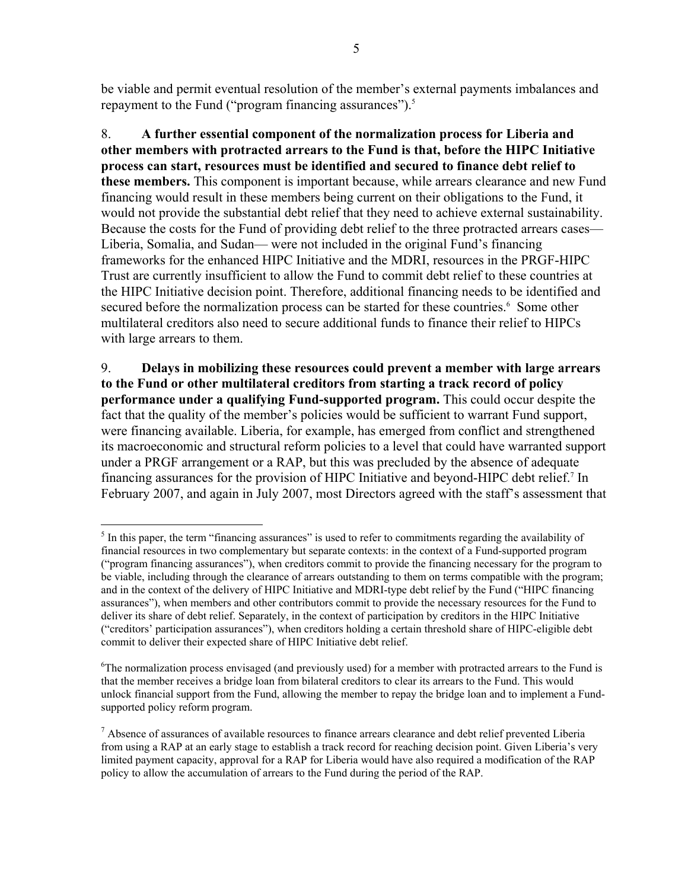be viable and permit eventual resolution of the member's external payments imbalances and repayment to the Fund ("program financing assurances").<sup>5</sup>

8. **A further essential component of the normalization process for Liberia and other members with protracted arrears to the Fund is that, before the HIPC Initiative process can start, resources must be identified and secured to finance debt relief to these members.** This component is important because, while arrears clearance and new Fund financing would result in these members being current on their obligations to the Fund, it would not provide the substantial debt relief that they need to achieve external sustainability. Because the costs for the Fund of providing debt relief to the three protracted arrears cases— Liberia, Somalia, and Sudan— were not included in the original Fund's financing frameworks for the enhanced HIPC Initiative and the MDRI, resources in the PRGF-HIPC Trust are currently insufficient to allow the Fund to commit debt relief to these countries at the HIPC Initiative decision point. Therefore, additional financing needs to be identified and secured before the normalization process can be started for these countries.<sup>6</sup> Some other multilateral creditors also need to secure additional funds to finance their relief to HIPCs with large arrears to them.

9. **Delays in mobilizing these resources could prevent a member with large arrears to the Fund or other multilateral creditors from starting a track record of policy performance under a qualifying Fund-supported program.** This could occur despite the fact that the quality of the member's policies would be sufficient to warrant Fund support, were financing available. Liberia, for example, has emerged from conflict and strengthened its macroeconomic and structural reform policies to a level that could have warranted support under a PRGF arrangement or a RAP, but this was precluded by the absence of adequate financing assurances for the provision of HIPC Initiative and beyond-HIPC debt relief.<sup>7</sup> In February 2007, and again in July 2007, most Directors agreed with the staff's assessment that

<sup>1</sup>  $<sup>5</sup>$  In this paper, the term "financing assurances" is used to refer to commitments regarding the availability of</sup> financial resources in two complementary but separate contexts: in the context of a Fund-supported program ("program financing assurances"), when creditors commit to provide the financing necessary for the program to be viable, including through the clearance of arrears outstanding to them on terms compatible with the program; and in the context of the delivery of HIPC Initiative and MDRI-type debt relief by the Fund ("HIPC financing assurances"), when members and other contributors commit to provide the necessary resources for the Fund to deliver its share of debt relief. Separately, in the context of participation by creditors in the HIPC Initiative ("creditors' participation assurances"), when creditors holding a certain threshold share of HIPC-eligible debt commit to deliver their expected share of HIPC Initiative debt relief.

<sup>&</sup>lt;sup>6</sup>The normalization process envisaged (and previously used) for a member with protracted arrears to the Fund is that the member receives a bridge loan from bilateral creditors to clear its arrears to the Fund. This would unlock financial support from the Fund, allowing the member to repay the bridge loan and to implement a Fundsupported policy reform program.

<sup>&</sup>lt;sup>7</sup> Absence of assurances of available resources to finance arrears clearance and debt relief prevented Liberia from using a RAP at an early stage to establish a track record for reaching decision point. Given Liberia's very limited payment capacity, approval for a RAP for Liberia would have also required a modification of the RAP policy to allow the accumulation of arrears to the Fund during the period of the RAP.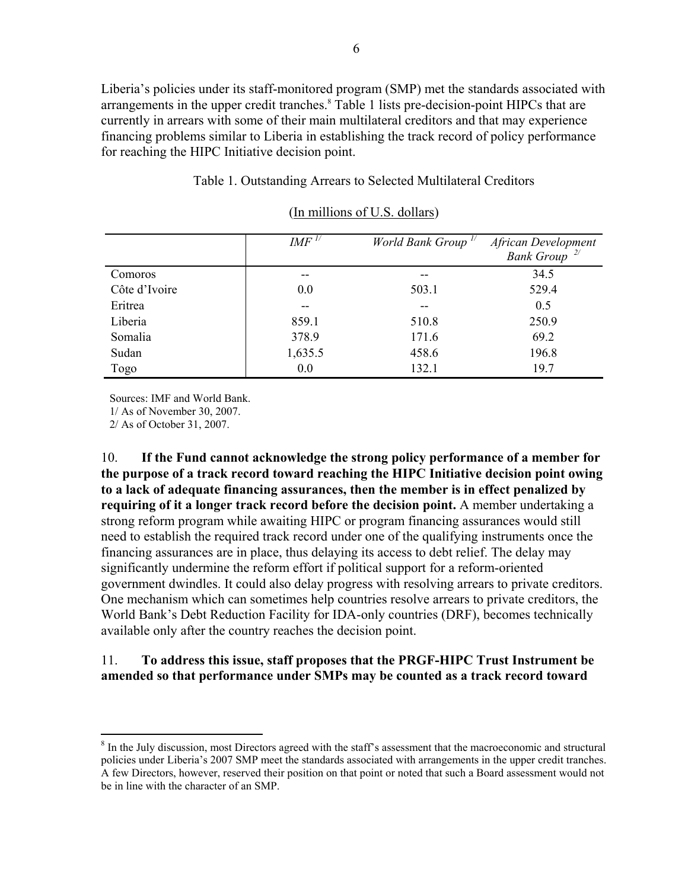Liberia's policies under its staff-monitored program (SMP) met the standards associated with arrangements in the upper credit tranches.<sup>8</sup> Table 1 lists pre-decision-point HIPCs that are currently in arrears with some of their main multilateral creditors and that may experience financing problems similar to Liberia in establishing the track record of policy performance for reaching the HIPC Initiative decision point.

#### Table 1. Outstanding Arrears to Selected Multilateral Creditors

|               | $IMF$ <sup><math>1/</math></sup> | World Bank Group <sup>1/</sup> | African Development<br>Bank Group <sup>2/</sup> |
|---------------|----------------------------------|--------------------------------|-------------------------------------------------|
| Comoros       |                                  |                                | 34.5                                            |
| Côte d'Ivoire | 0.0                              | 503.1                          | 529.4                                           |
| Eritrea       | --                               | --                             | 0.5                                             |
| Liberia       | 859.1                            | 510.8                          | 250.9                                           |
| Somalia       | 378.9                            | 171.6                          | 69.2                                            |
| Sudan         | 1,635.5                          | 458.6                          | 196.8                                           |
| Togo          | 0.0                              | 132.1                          | 19.7                                            |

### (In millions of U.S. dollars)

Sources: IMF and World Bank.

1/ As of November 30, 2007.

2/ As of October 31, 2007.

 $\overline{a}$ 

10. **If the Fund cannot acknowledge the strong policy performance of a member for the purpose of a track record toward reaching the HIPC Initiative decision point owing to a lack of adequate financing assurances, then the member is in effect penalized by requiring of it a longer track record before the decision point.** A member undertaking a strong reform program while awaiting HIPC or program financing assurances would still need to establish the required track record under one of the qualifying instruments once the financing assurances are in place, thus delaying its access to debt relief. The delay may significantly undermine the reform effort if political support for a reform-oriented government dwindles. It could also delay progress with resolving arrears to private creditors. One mechanism which can sometimes help countries resolve arrears to private creditors, the World Bank's Debt Reduction Facility for IDA-only countries (DRF), becomes technically available only after the country reaches the decision point.

### 11. **To address this issue, staff proposes that the PRGF-HIPC Trust Instrument be amended so that performance under SMPs may be counted as a track record toward**

 $8$  In the July discussion, most Directors agreed with the staff's assessment that the macroeconomic and structural policies under Liberia's 2007 SMP meet the standards associated with arrangements in the upper credit tranches. A few Directors, however, reserved their position on that point or noted that such a Board assessment would not be in line with the character of an SMP.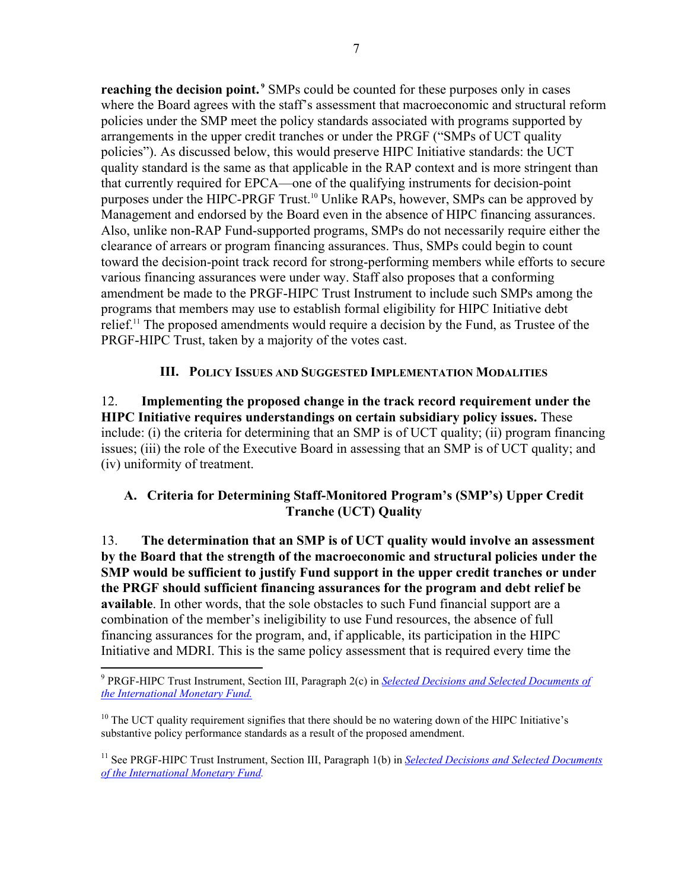**reaching the decision point.** <sup>9</sup> SMPs could be counted for these purposes only in cases where the Board agrees with the staff's assessment that macroeconomic and structural reform policies under the SMP meet the policy standards associated with programs supported by arrangements in the upper credit tranches or under the PRGF ("SMPs of UCT quality policies"). As discussed below, this would preserve HIPC Initiative standards: the UCT quality standard is the same as that applicable in the RAP context and is more stringent than that currently required for EPCA—one of the qualifying instruments for decision-point purposes under the HIPC-PRGF Trust.<sup>10</sup> Unlike RAPs, however, SMPs can be approved by Management and endorsed by the Board even in the absence of HIPC financing assurances. Also, unlike non-RAP Fund-supported programs, SMPs do not necessarily require either the clearance of arrears or program financing assurances. Thus, SMPs could begin to count toward the decision-point track record for strong-performing members while efforts to secure various financing assurances were under way. Staff also proposes that a conforming amendment be made to the PRGF-HIPC Trust Instrument to include such SMPs among the programs that members may use to establish formal eligibility for HIPC Initiative debt relief.11 The proposed amendments would require a decision by the Fund, as Trustee of the PRGF-HIPC Trust, taken by a majority of the votes cast.

## **III. POLICY ISSUES AND SUGGESTED IMPLEMENTATION MODALITIES**

12. **Implementing the proposed change in the track record requirement under the HIPC Initiative requires understandings on certain subsidiary policy issues.** These include: (i) the criteria for determining that an SMP is of UCT quality; (ii) program financing issues; (iii) the role of the Executive Board in assessing that an SMP is of UCT quality; and (iv) uniformity of treatment.

# **A. Criteria for Determining Staff-Monitored Program's (SMP's) Upper Credit Tranche (UCT) Quality**

13. **The determination that an SMP is of UCT quality would involve an assessment by the Board that the strength of the macroeconomic and structural policies under the SMP would be sufficient to justify Fund support in the upper credit tranches or under the PRGF should sufficient financing assurances for the program and debt relief be available**. In other words, that the sole obstacles to such Fund financial support are a combination of the member's ineligibility to use Fund resources, the absence of full financing assurances for the program, and, if applicable, its participation in the HIPC Initiative and MDRI. This is the same policy assessment that is required every time the

<sup>9</sup> PRGF-HIPC Trust Instrument, Section III, Paragraph 2(c) in *[Selected Decisions and Selected Documents of](http://www.imf.org/external/pubs/ft/sd/index.asp)  [the International Monetary Fund.](http://www.imf.org/external/pubs/ft/sd/index.asp)*

 $10$  The UCT quality requirement signifies that there should be no watering down of the HIPC Initiative's substantive policy performance standards as a result of the proposed amendment.

<sup>&</sup>lt;sup>11</sup> See PRGF-HIPC Trust Instrument, Section III, Paragraph 1(b) in *Selected Decisions and Selected Documents [of the International Monetary Fund.](http://www.imf.org/external/pubs/ft/sd/index.asp)*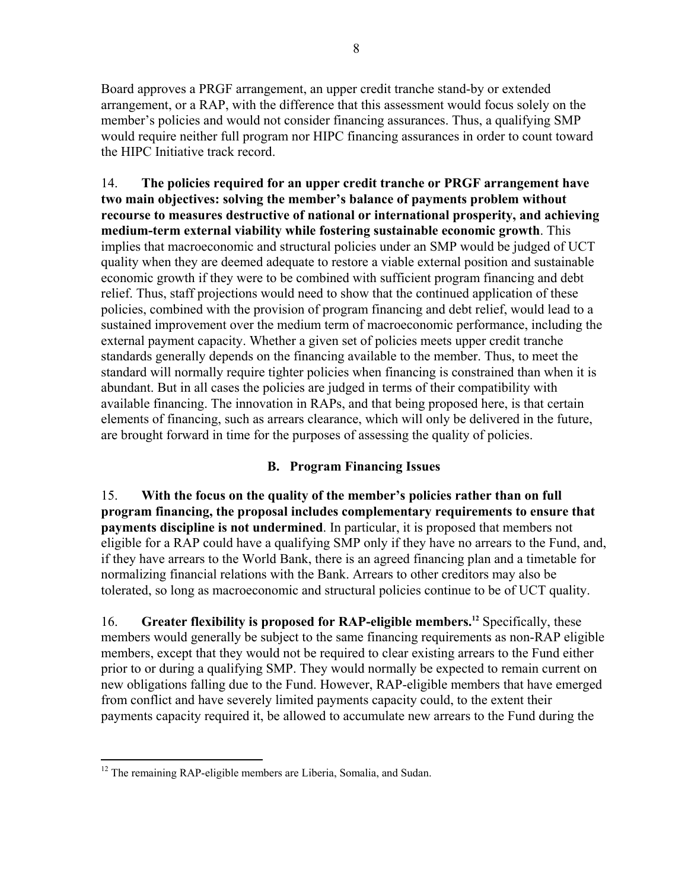Board approves a PRGF arrangement, an upper credit tranche stand-by or extended arrangement, or a RAP, with the difference that this assessment would focus solely on the member's policies and would not consider financing assurances. Thus, a qualifying SMP would require neither full program nor HIPC financing assurances in order to count toward the HIPC Initiative track record.

14. **The policies required for an upper credit tranche or PRGF arrangement have two main objectives: solving the member's balance of payments problem without recourse to measures destructive of national or international prosperity, and achieving medium-term external viability while fostering sustainable economic growth**. This implies that macroeconomic and structural policies under an SMP would be judged of UCT quality when they are deemed adequate to restore a viable external position and sustainable economic growth if they were to be combined with sufficient program financing and debt relief. Thus, staff projections would need to show that the continued application of these policies, combined with the provision of program financing and debt relief, would lead to a sustained improvement over the medium term of macroeconomic performance, including the external payment capacity. Whether a given set of policies meets upper credit tranche standards generally depends on the financing available to the member. Thus, to meet the standard will normally require tighter policies when financing is constrained than when it is abundant. But in all cases the policies are judged in terms of their compatibility with available financing. The innovation in RAPs, and that being proposed here, is that certain elements of financing, such as arrears clearance, which will only be delivered in the future, are brought forward in time for the purposes of assessing the quality of policies.

## **B. Program Financing Issues**

15. **With the focus on the quality of the member's policies rather than on full program financing, the proposal includes complementary requirements to ensure that payments discipline is not undermined**. In particular, it is proposed that members not eligible for a RAP could have a qualifying SMP only if they have no arrears to the Fund, and, if they have arrears to the World Bank, there is an agreed financing plan and a timetable for normalizing financial relations with the Bank. Arrears to other creditors may also be tolerated, so long as macroeconomic and structural policies continue to be of UCT quality.

16. **Greater flexibility is proposed for RAP-eligible members.12** Specifically, these members would generally be subject to the same financing requirements as non-RAP eligible members, except that they would not be required to clear existing arrears to the Fund either prior to or during a qualifying SMP. They would normally be expected to remain current on new obligations falling due to the Fund. However, RAP-eligible members that have emerged from conflict and have severely limited payments capacity could, to the extent their payments capacity required it, be allowed to accumulate new arrears to the Fund during the

 $\overline{a}$ <sup>12</sup> The remaining RAP-eligible members are Liberia, Somalia, and Sudan.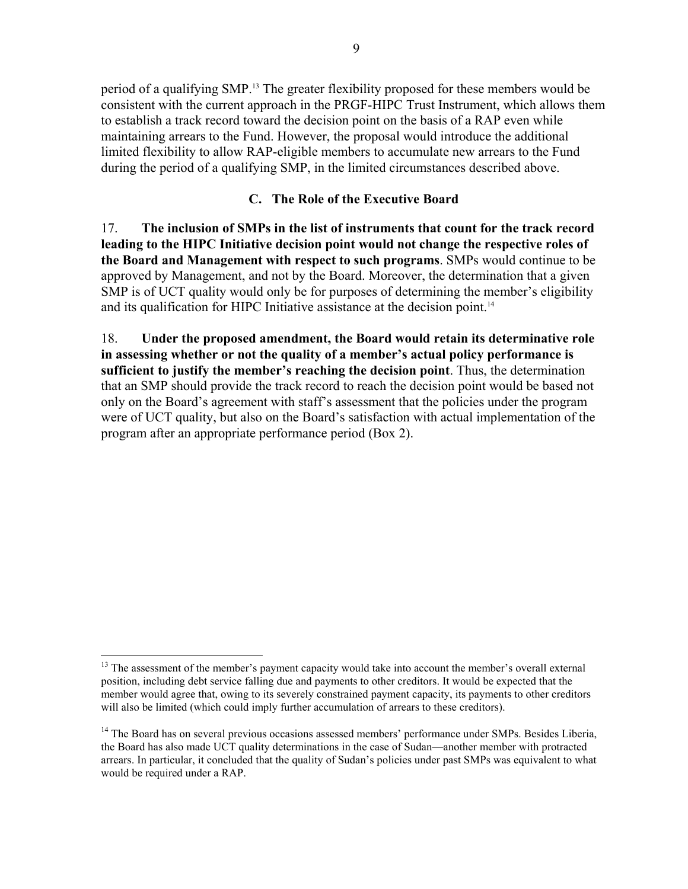period of a qualifying SMP.13 The greater flexibility proposed for these members would be consistent with the current approach in the PRGF-HIPC Trust Instrument, which allows them to establish a track record toward the decision point on the basis of a RAP even while maintaining arrears to the Fund. However, the proposal would introduce the additional limited flexibility to allow RAP-eligible members to accumulate new arrears to the Fund during the period of a qualifying SMP, in the limited circumstances described above.

## **C. The Role of the Executive Board**

17. **The inclusion of SMPs in the list of instruments that count for the track record leading to the HIPC Initiative decision point would not change the respective roles of the Board and Management with respect to such programs**. SMPs would continue to be approved by Management, and not by the Board. Moreover, the determination that a given SMP is of UCT quality would only be for purposes of determining the member's eligibility and its qualification for HIPC Initiative assistance at the decision point.<sup>14</sup>

18. **Under the proposed amendment, the Board would retain its determinative role in assessing whether or not the quality of a member's actual policy performance is sufficient to justify the member's reaching the decision point**. Thus, the determination that an SMP should provide the track record to reach the decision point would be based not only on the Board's agreement with staff's assessment that the policies under the program were of UCT quality, but also on the Board's satisfaction with actual implementation of the program after an appropriate performance period (Box 2).

 $\overline{a}$ <sup>13</sup> The assessment of the member's payment capacity would take into account the member's overall external position, including debt service falling due and payments to other creditors. It would be expected that the member would agree that, owing to its severely constrained payment capacity, its payments to other creditors will also be limited (which could imply further accumulation of arrears to these creditors).

<sup>&</sup>lt;sup>14</sup> The Board has on several previous occasions assessed members' performance under SMPs. Besides Liberia, the Board has also made UCT quality determinations in the case of Sudan—another member with protracted arrears. In particular, it concluded that the quality of Sudan's policies under past SMPs was equivalent to what would be required under a RAP.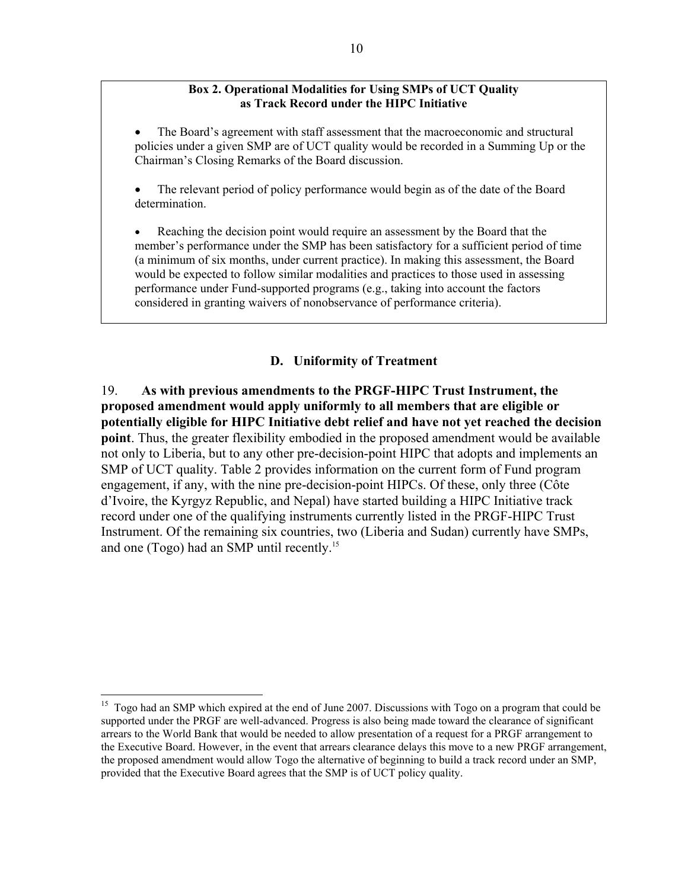#### **Box 2. Operational Modalities for Using SMPs of UCT Quality as Track Record under the HIPC Initiative**

• The Board's agreement with staff assessment that the macroeconomic and structural policies under a given SMP are of UCT quality would be recorded in a Summing Up or the Chairman's Closing Remarks of the Board discussion.

• The relevant period of policy performance would begin as of the date of the Board determination.

• Reaching the decision point would require an assessment by the Board that the member's performance under the SMP has been satisfactory for a sufficient period of time (a minimum of six months, under current practice). In making this assessment, the Board would be expected to follow similar modalities and practices to those used in assessing performance under Fund-supported programs (e.g., taking into account the factors considered in granting waivers of nonobservance of performance criteria).

### **D. Uniformity of Treatment**

19. **As with previous amendments to the PRGF-HIPC Trust Instrument, the proposed amendment would apply uniformly to all members that are eligible or potentially eligible for HIPC Initiative debt relief and have not yet reached the decision point**. Thus, the greater flexibility embodied in the proposed amendment would be available not only to Liberia, but to any other pre-decision-point HIPC that adopts and implements an SMP of UCT quality. Table 2 provides information on the current form of Fund program engagement, if any, with the nine pre-decision-point HIPCs. Of these, only three (Côte d'Ivoire, the Kyrgyz Republic, and Nepal) have started building a HIPC Initiative track record under one of the qualifying instruments currently listed in the PRGF-HIPC Trust Instrument. Of the remaining six countries, two (Liberia and Sudan) currently have SMPs, and one (Togo) had an SMP until recently.15

<sup>&</sup>lt;sup>15</sup> Togo had an SMP which expired at the end of June 2007. Discussions with Togo on a program that could be supported under the PRGF are well-advanced. Progress is also being made toward the clearance of significant arrears to the World Bank that would be needed to allow presentation of a request for a PRGF arrangement to the Executive Board. However, in the event that arrears clearance delays this move to a new PRGF arrangement, the proposed amendment would allow Togo the alternative of beginning to build a track record under an SMP, provided that the Executive Board agrees that the SMP is of UCT policy quality.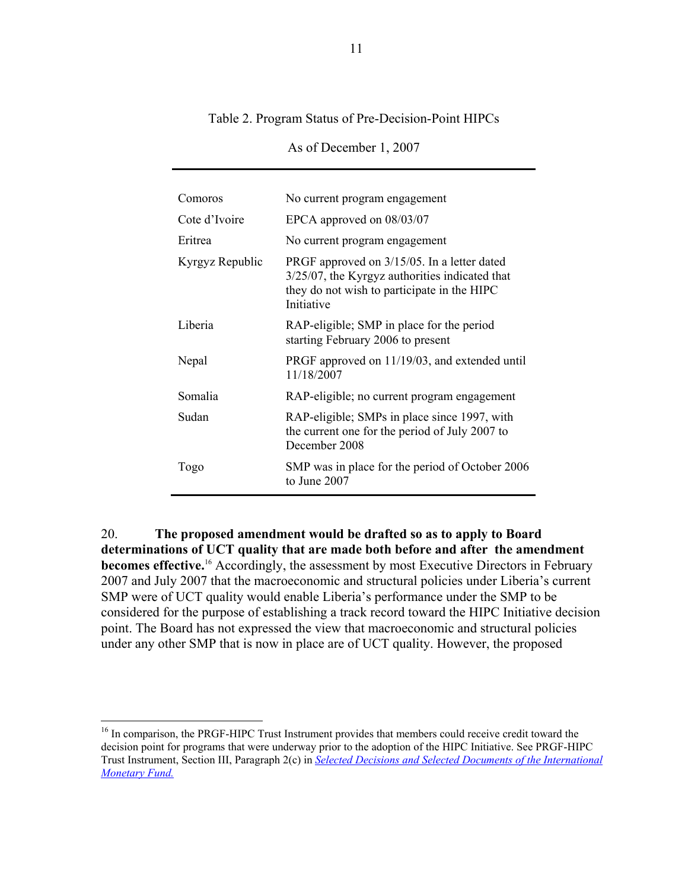#### Table 2. Program Status of Pre-Decision-Point HIPCs

| Comoros         | No current program engagement                                                                                                                                 |  |  |
|-----------------|---------------------------------------------------------------------------------------------------------------------------------------------------------------|--|--|
| Cote d'Ivoire   | EPCA approved on 08/03/07                                                                                                                                     |  |  |
| Eritrea         | No current program engagement                                                                                                                                 |  |  |
| Kyrgyz Republic | PRGF approved on 3/15/05. In a letter dated<br>$3/25/07$ , the Kyrgyz authorities indicated that<br>they do not wish to participate in the HIPC<br>Initiative |  |  |
| Liberia         | RAP-eligible; SMP in place for the period<br>starting February 2006 to present                                                                                |  |  |
| Nepal           | PRGF approved on 11/19/03, and extended until<br>11/18/2007                                                                                                   |  |  |
| Somalia         | RAP-eligible; no current program engagement                                                                                                                   |  |  |
| Sudan           | RAP-eligible; SMPs in place since 1997, with<br>the current one for the period of July 2007 to<br>December 2008                                               |  |  |
| Togo            | SMP was in place for the period of October 2006<br>to June $2007$                                                                                             |  |  |

As of December 1, 2007

20. **The proposed amendment would be drafted so as to apply to Board determinations of UCT quality that are made both before and after the amendment becomes effective.**<sup>16</sup> Accordingly, the assessment by most Executive Directors in February 2007 and July 2007 that the macroeconomic and structural policies under Liberia's current SMP were of UCT quality would enable Liberia's performance under the SMP to be considered for the purpose of establishing a track record toward the HIPC Initiative decision point. The Board has not expressed the view that macroeconomic and structural policies under any other SMP that is now in place are of UCT quality. However, the proposed

<sup>&</sup>lt;sup>16</sup> In comparison, the PRGF-HIPC Trust Instrument provides that members could receive credit toward the decision point for programs that were underway prior to the adoption of the HIPC Initiative. See PRGF-HIPC Trust Instrument, Section III, Paragraph 2(c) in *[Selected Decisions and Selected Documents of the International](http://www.imf.org/external/pubs/ft/sd/index.asp)  [Monetary Fund.](http://www.imf.org/external/pubs/ft/sd/index.asp)*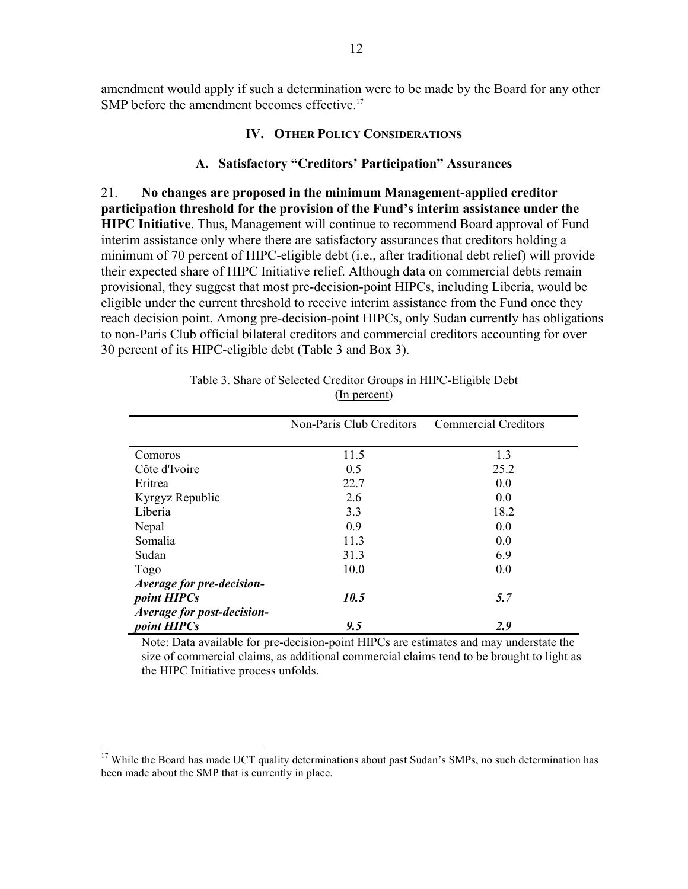amendment would apply if such a determination were to be made by the Board for any other SMP before the amendment becomes effective.<sup>17</sup>

#### **IV. OTHER POLICY CONSIDERATIONS**

### **A. Satisfactory "Creditors' Participation" Assurances**

21. **No changes are proposed in the minimum Management-applied creditor participation threshold for the provision of the Fund's interim assistance under the HIPC Initiative**. Thus, Management will continue to recommend Board approval of Fund interim assistance only where there are satisfactory assurances that creditors holding a minimum of 70 percent of HIPC-eligible debt (i.e., after traditional debt relief) will provide their expected share of HIPC Initiative relief. Although data on commercial debts remain provisional, they suggest that most pre-decision-point HIPCs, including Liberia, would be eligible under the current threshold to receive interim assistance from the Fund once they reach decision point. Among pre-decision-point HIPCs, only Sudan currently has obligations to non-Paris Club official bilateral creditors and commercial creditors accounting for over 30 percent of its HIPC-eligible debt (Table 3 and Box 3).

|                            | Non-Paris Club Creditors | <b>Commercial Creditors</b> |
|----------------------------|--------------------------|-----------------------------|
|                            |                          |                             |
| Comoros                    | 11.5                     | 1.3                         |
| Côte d'Ivoire              | 0.5                      | 25.2                        |
| Eritrea                    | 22.7                     | 0.0                         |
| Kyrgyz Republic            | 2.6                      | 0.0                         |
| Liberia                    | 3.3                      | 18.2                        |
| Nepal                      | 0.9                      | 0.0                         |
| Somalia                    | 11.3                     | 0.0                         |
| Sudan                      | 31.3                     | 6.9                         |
| Togo                       | 10.0                     | 0.0                         |
| Average for pre-decision-  |                          |                             |
| <i>point HIPCs</i>         | 10.5                     | 5.7                         |
| Average for post-decision- |                          |                             |
| point HIPCs                | 9.5                      | 2.9                         |

Table 3. Share of Selected Creditor Groups in HIPC-Eligible Debt (In percent)

Note: Data available for pre-decision-point HIPCs are estimates and may understate the size of commercial claims, as additional commercial claims tend to be brought to light as the HIPC Initiative process unfolds.

<sup>&</sup>lt;sup>17</sup> While the Board has made UCT quality determinations about past Sudan's SMPs, no such determination has been made about the SMP that is currently in place.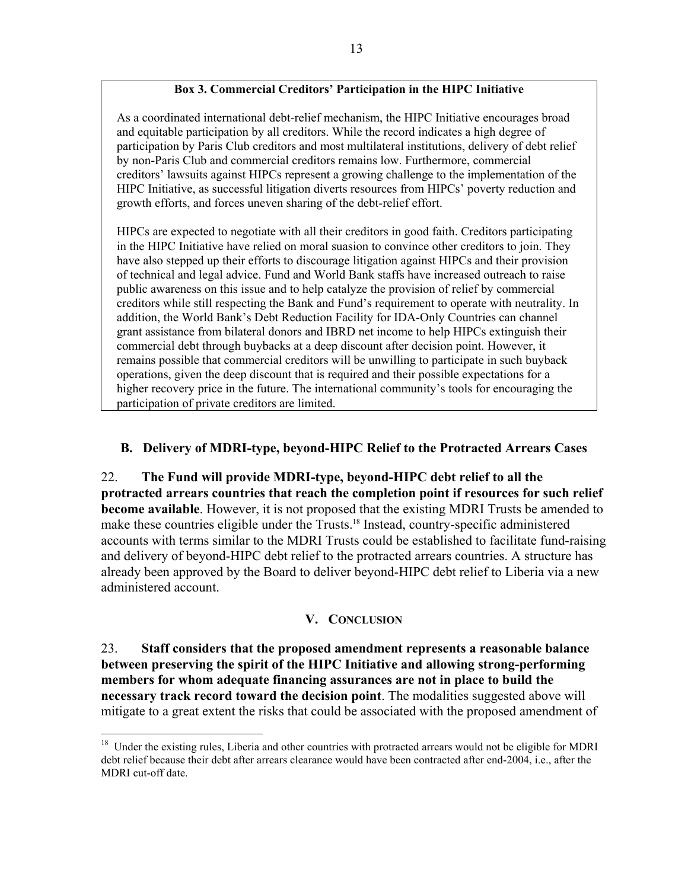### **Box 3. Commercial Creditors' Participation in the HIPC Initiative**

As a coordinated international debt-relief mechanism, the HIPC Initiative encourages broad and equitable participation by all creditors. While the record indicates a high degree of participation by Paris Club creditors and most multilateral institutions, delivery of debt relief by non-Paris Club and commercial creditors remains low. Furthermore, commercial creditors' lawsuits against HIPCs represent a growing challenge to the implementation of the HIPC Initiative, as successful litigation diverts resources from HIPCs' poverty reduction and growth efforts, and forces uneven sharing of the debt-relief effort.

HIPCs are expected to negotiate with all their creditors in good faith. Creditors participating in the HIPC Initiative have relied on moral suasion to convince other creditors to join. They have also stepped up their efforts to discourage litigation against HIPCs and their provision of technical and legal advice. Fund and World Bank staffs have increased outreach to raise public awareness on this issue and to help catalyze the provision of relief by commercial creditors while still respecting the Bank and Fund's requirement to operate with neutrality. In addition, the World Bank's Debt Reduction Facility for IDA-Only Countries can channel grant assistance from bilateral donors and IBRD net income to help HIPCs extinguish their commercial debt through buybacks at a deep discount after decision point. However, it remains possible that commercial creditors will be unwilling to participate in such buyback operations, given the deep discount that is required and their possible expectations for a higher recovery price in the future. The international community's tools for encouraging the participation of private creditors are limited.

## **B. Delivery of MDRI-type, beyond-HIPC Relief to the Protracted Arrears Cases**

22. **The Fund will provide MDRI-type, beyond-HIPC debt relief to all the protracted arrears countries that reach the completion point if resources for such relief become available**. However, it is not proposed that the existing MDRI Trusts be amended to make these countries eligible under the Trusts.<sup>18</sup> Instead, country-specific administered accounts with terms similar to the MDRI Trusts could be established to facilitate fund-raising and delivery of beyond-HIPC debt relief to the protracted arrears countries. A structure has already been approved by the Board to deliver beyond-HIPC debt relief to Liberia via a new administered account.

### **V. CONCLUSION**

23. **Staff considers that the proposed amendment represents a reasonable balance between preserving the spirit of the HIPC Initiative and allowing strong-performing members for whom adequate financing assurances are not in place to build the necessary track record toward the decision point**. The modalities suggested above will mitigate to a great extent the risks that could be associated with the proposed amendment of

<sup>&</sup>lt;sup>18</sup> Under the existing rules, Liberia and other countries with protracted arrears would not be eligible for MDRI debt relief because their debt after arrears clearance would have been contracted after end-2004, i.e., after the MDRI cut-off date.